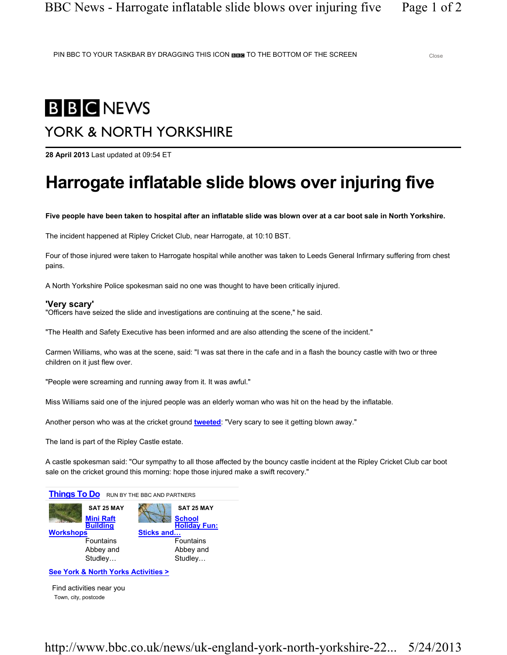PIN BBC TO YOUR TASKBAR BY DRAGGING THIS ICON BIBE TO THE BOTTOM OF THE SCREEN Close

# **B B C NEWS**

## YORK & NORTH YORKSHIRE

28 April 2013 Last updated at 09:54 ET

## Harrogate inflatable slide blows over injuring five

Five people have been taken to hospital after an inflatable slide was blown over at a car boot sale in North Yorkshire.

The incident happened at Ripley Cricket Club, near Harrogate, at 10:10 BST.

Four of those injured were taken to Harrogate hospital while another was taken to Leeds General Infirmary suffering from chest pains.

A North Yorkshire Police spokesman said no one was thought to have been critically injured.

#### 'Very scary'

"Officers have seized the slide and investigations are continuing at the scene," he said.

"The Health and Safety Executive has been informed and are also attending the scene of the incident."

Carmen Williams, who was at the scene, said: "I was sat there in the cafe and in a flash the bouncy castle with two or three children on it just flew over.

"People were screaming and running away from it. It was awful."

Miss Williams said one of the injured people was an elderly woman who was hit on the head by the inflatable.

Another person who was at the cricket ground tweeted: "Very scary to see it getting blown away."

The land is part of the Ripley Castle estate.

A castle spokesman said: "Our sympathy to all those affected by the bouncy castle incident at the Ripley Cricket Club car boot sale on the cricket ground this morning: hope those injured make a swift recovery."



See York & North Yorks Activities >

Town, city, postcode Find activities near you